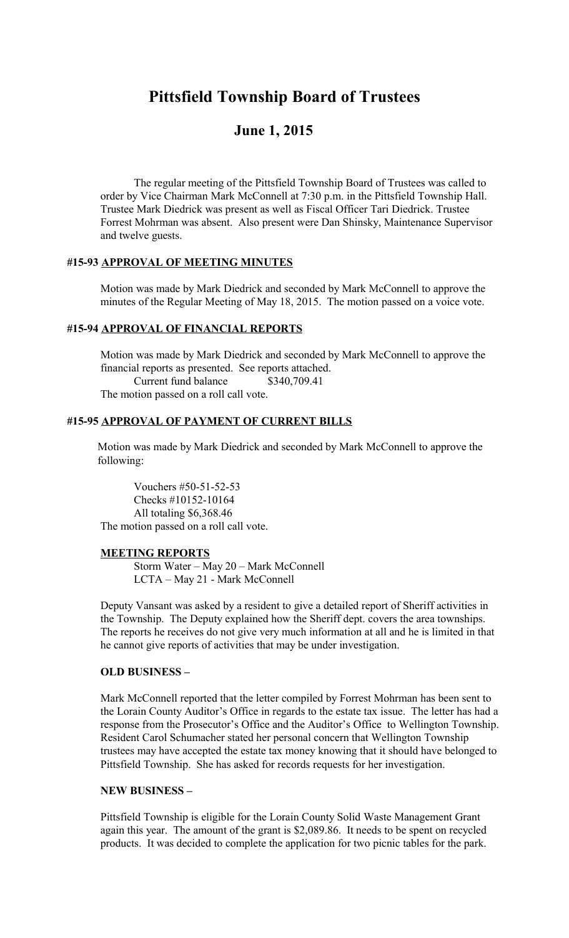# **Pittsfield Township Board of Trustees**

# **June 1, 2015**

The regular meeting of the Pittsfield Township Board of Trustees was called to order by Vice Chairman Mark McConnell at 7:30 p.m. in the Pittsfield Township Hall. Trustee Mark Diedrick was present as well as Fiscal Officer Tari Diedrick. Trustee Forrest Mohrman was absent. Also present were Dan Shinsky, Maintenance Supervisor and twelve guests.

# **#15-93 APPROVAL OF MEETING MINUTES**

Motion was made by Mark Diedrick and seconded by Mark McConnell to approve the minutes of the Regular Meeting of May 18, 2015. The motion passed on a voice vote.

### **#15-94 APPROVAL OF FINANCIAL REPORTS**

Motion was made by Mark Diedrick and seconded by Mark McConnell to approve the financial reports as presented. See reports attached. Current fund balance \$340,709.41 The motion passed on a roll call vote.

#### **#15-95 APPROVAL OF PAYMENT OF CURRENT BILLS**

 Motion was made by Mark Diedrick and seconded by Mark McConnell to approve the following:

 Vouchers #50-51-52-53 Checks #10152-10164 All totaling \$6,368.46 The motion passed on a roll call vote.

#### **MEETING REPORTS**

Storm Water – May 20 – Mark McConnell LCTA – May 21 - Mark McConnell

Deputy Vansant was asked by a resident to give a detailed report of Sheriff activities in the Township. The Deputy explained how the Sheriff dept. covers the area townships. The reports he receives do not give very much information at all and he is limited in that he cannot give reports of activities that may be under investigation.

#### **OLD BUSINESS –**

Mark McConnell reported that the letter compiled by Forrest Mohrman has been sent to the Lorain County Auditor's Office in regards to the estate tax issue. The letter has had a response from the Prosecutor's Office and the Auditor's Office to Wellington Township. Resident Carol Schumacher stated her personal concern that Wellington Township trustees may have accepted the estate tax money knowing that it should have belonged to Pittsfield Township. She has asked for records requests for her investigation.

#### **NEW BUSINESS –**

Pittsfield Township is eligible for the Lorain County Solid Waste Management Grant again this year. The amount of the grant is \$2,089.86. It needs to be spent on recycled products. It was decided to complete the application for two picnic tables for the park.